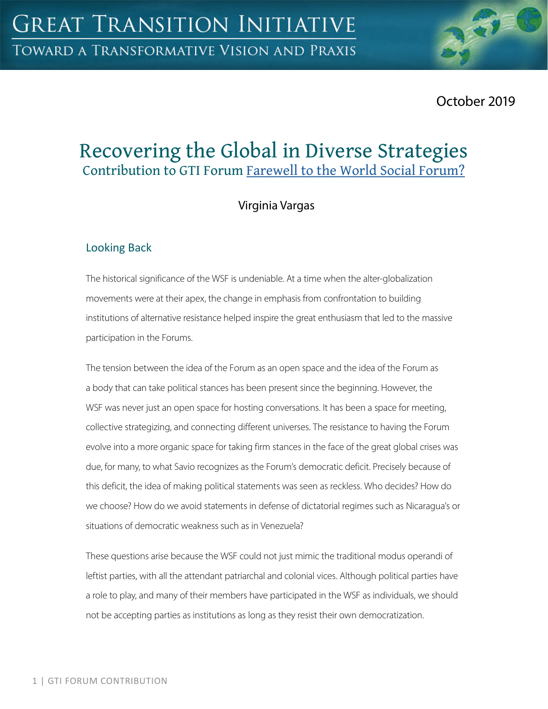

# Recovering the Global in Diverse Strategies Contribution to GTI Forum [Farewell to the World Social Forum?](https://greattransition.org/gti-forum/farewell-to-the-wsf)

# Virginia Vargas

## Looking Back

The historical significance of the WSF is undeniable. At a time when the alter-globalization movements were at their apex, the change in emphasis from confrontation to building institutions of alternative resistance helped inspire the great enthusiasm that led to the massive participation in the Forums.

The tension between the idea of the Forum as an open space and the idea of the Forum as a body that can take political stances has been present since the beginning. However, the WSF was never just an open space for hosting conversations. It has been a space for meeting, collective strategizing, and connecting different universes. The resistance to having the Forum evolve into a more organic space for taking firm stances in the face of the great global crises was due, for many, to what Savio recognizes as the Forum's democratic deficit. Precisely because of this deficit, the idea of making political statements was seen as reckless. Who decides? How do we choose? How do we avoid statements in defense of dictatorial regimes such as Nicaragua's or situations of democratic weakness such as in Venezuela?

These questions arise because the WSF could not just mimic the traditional modus operandi of leftist parties, with all the attendant patriarchal and colonial vices. Although political parties have a role to play, and many of their members have participated in the WSF as individuals, we should not be accepting parties as institutions as long as they resist their own democratization.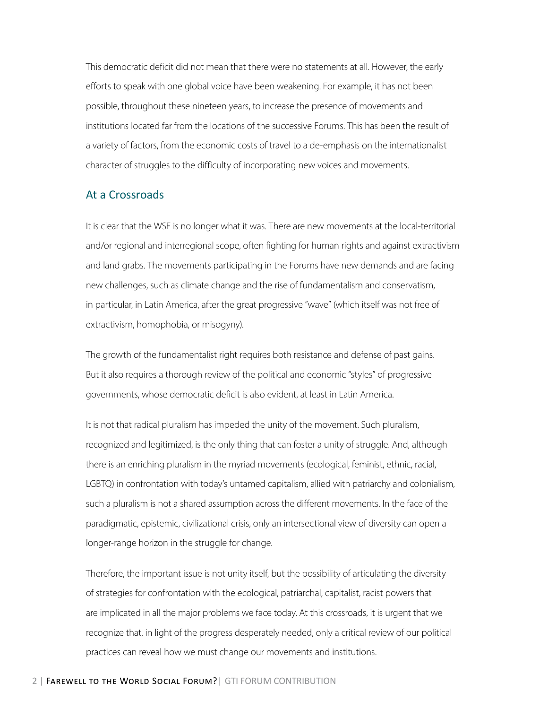This democratic deficit did not mean that there were no statements at all. However, the early efforts to speak with one global voice have been weakening. For example, it has not been possible, throughout these nineteen years, to increase the presence of movements and institutions located far from the locations of the successive Forums. This has been the result of a variety of factors, from the economic costs of travel to a de-emphasis on the internationalist character of struggles to the difficulty of incorporating new voices and movements.

#### At a Crossroads

It is clear that the WSF is no longer what it was. There are new movements at the local-territorial and/or regional and interregional scope, often fighting for human rights and against extractivism and land grabs. The movements participating in the Forums have new demands and are facing new challenges, such as climate change and the rise of fundamentalism and conservatism, in particular, in Latin America, after the great progressive "wave" (which itself was not free of extractivism, homophobia, or misogyny).

The growth of the fundamentalist right requires both resistance and defense of past gains. But it also requires a thorough review of the political and economic "styles" of progressive governments, whose democratic deficit is also evident, at least in Latin America.

It is not that radical pluralism has impeded the unity of the movement. Such pluralism, recognized and legitimized, is the only thing that can foster a unity of struggle. And, although there is an enriching pluralism in the myriad movements (ecological, feminist, ethnic, racial, LGBTQ) in confrontation with today's untamed capitalism, allied with patriarchy and colonialism, such a pluralism is not a shared assumption across the different movements. In the face of the paradigmatic, epistemic, civilizational crisis, only an intersectional view of diversity can open a longer-range horizon in the struggle for change.

Therefore, the important issue is not unity itself, but the possibility of articulating the diversity of strategies for confrontation with the ecological, patriarchal, capitalist, racist powers that are implicated in all the major problems we face today. At this crossroads, it is urgent that we recognize that, in light of the progress desperately needed, only a critical review of our political practices can reveal how we must change our movements and institutions.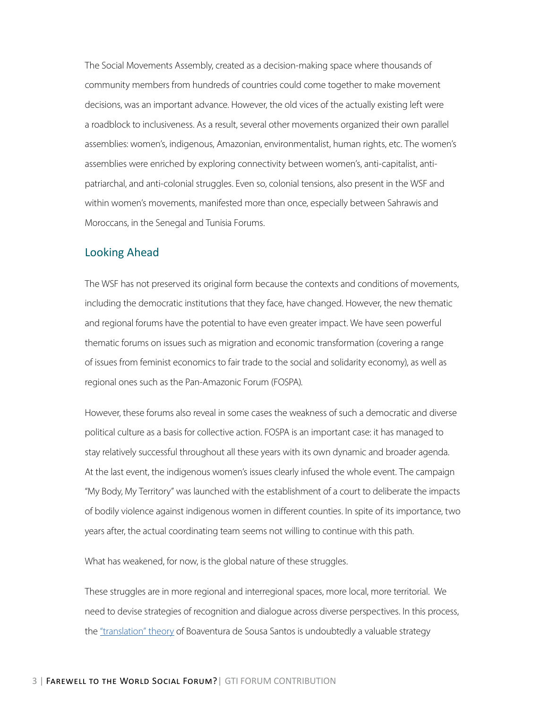The Social Movements Assembly, created as a decision-making space where thousands of community members from hundreds of countries could come together to make movement decisions, was an important advance. However, the old vices of the actually existing left were a roadblock to inclusiveness. As a result, several other movements organized their own parallel assemblies: women's, indigenous, Amazonian, environmentalist, human rights, etc. The women's assemblies were enriched by exploring connectivity between women's, anti-capitalist, antipatriarchal, and anti-colonial struggles. Even so, colonial tensions, also present in the WSF and within women's movements, manifested more than once, especially between Sahrawis and Moroccans, in the Senegal and Tunisia Forums.

#### Looking Ahead

The WSF has not preserved its original form because the contexts and conditions of movements, including the democratic institutions that they face, have changed. However, the new thematic and regional forums have the potential to have even greater impact. We have seen powerful thematic forums on issues such as migration and economic transformation (covering a range of issues from feminist economics to fair trade to the social and solidarity economy), as well as regional ones such as the Pan-Amazonic Forum (FOSPA).

However, these forums also reveal in some cases the weakness of such a democratic and diverse political culture as a basis for collective action. FOSPA is an important case: it has managed to stay relatively successful throughout all these years with its own dynamic and broader agenda. At the last event, the indigenous women's issues clearly infused the whole event. The campaign "My Body, My Territory" was launched with the establishment of a court to deliberate the impacts of bodily violence against indigenous women in different counties. In spite of its importance, two years after, the actual coordinating team seems not willing to continue with this path.

What has weakened, for now, is the global nature of these struggles.

These struggles are in more regional and interregional spaces, more local, more territorial. We need to devise strategies of recognition and dialogue across diverse perspectives. In this process, the ["translation" theory](http://www.boaventuradesousasantos.pt/media/Epistemologies of the south and the future_Poscolonialitalia_2016.pdf) of Boaventura de Sousa Santos is undoubtedly a valuable strategy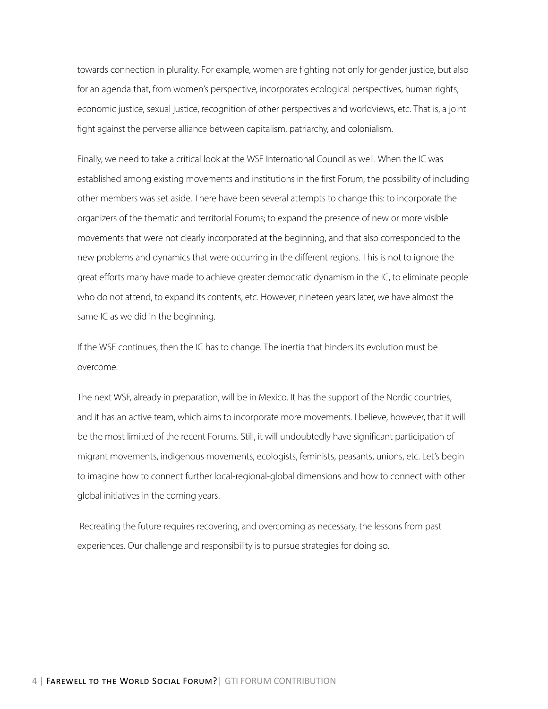towards connection in plurality. For example, women are fighting not only for gender justice, but also for an agenda that, from women's perspective, incorporates ecological perspectives, human rights, economic justice, sexual justice, recognition of other perspectives and worldviews, etc. That is, a joint fight against the perverse alliance between capitalism, patriarchy, and colonialism.

Finally, we need to take a critical look at the WSF International Council as well. When the IC was established among existing movements and institutions in the first Forum, the possibility of including other members was set aside. There have been several attempts to change this: to incorporate the organizers of the thematic and territorial Forums; to expand the presence of new or more visible movements that were not clearly incorporated at the beginning, and that also corresponded to the new problems and dynamics that were occurring in the different regions. This is not to ignore the great efforts many have made to achieve greater democratic dynamism in the IC, to eliminate people who do not attend, to expand its contents, etc. However, nineteen years later, we have almost the same IC as we did in the beginning.

If the WSF continues, then the IC has to change. The inertia that hinders its evolution must be overcome.

The next WSF, already in preparation, will be in Mexico. It has the support of the Nordic countries, and it has an active team, which aims to incorporate more movements. I believe, however, that it will be the most limited of the recent Forums. Still, it will undoubtedly have significant participation of migrant movements, indigenous movements, ecologists, feminists, peasants, unions, etc. Let's begin to imagine how to connect further local-regional-global dimensions and how to connect with other global initiatives in the coming years.

 Recreating the future requires recovering, and overcoming as necessary, the lessons from past experiences. Our challenge and responsibility is to pursue strategies for doing so.